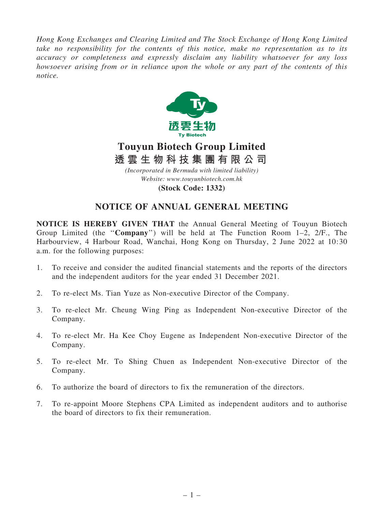*Hong Kong Exchanges and Clearing Limited and The Stock Exchange of Hong Kong Limited take no responsibility for the contents of this notice, make no representation as to its accuracy or completeness and expressly disclaim any liability whatsoever for any loss howsoever arising from or in reliance upon the whole or any part of the contents of this notice.*



# **Touyun Biotech Group Limited 透 雲 生 物 科 技 集 團 有 限 公 司**

*(Incorporated in Bermuda with limited liability) Website: www.touyunbiotech.com.hk*

**(Stock Code: 1332)**

## NOTICE OF ANNUAL GENERAL MEETING

NOTICE IS HEREBY GIVEN THAT the Annual General Meeting of Touyun Biotech Group Limited (the ''Company'') will be held at The Function Room 1–2, 2/F., The Harbourview, 4 Harbour Road, Wanchai, Hong Kong on Thursday, 2 June 2022 at 10:30 a.m. for the following purposes:

- 1. To receive and consider the audited financial statements and the reports of the directors and the independent auditors for the year ended 31 December 2021.
- 2. To re-elect Ms. Tian Yuze as Non-executive Director of the Company.
- 3. To re-elect Mr. Cheung Wing Ping as Independent Non-executive Director of the Company.
- 4. To re-elect Mr. Ha Kee Choy Eugene as Independent Non-executive Director of the Company.
- 5. To re-elect Mr. To Shing Chuen as Independent Non-executive Director of the Company.
- 6. To authorize the board of directors to fix the remuneration of the directors.
- 7. To re-appoint Moore Stephens CPA Limited as independent auditors and to authorise the board of directors to fix their remuneration.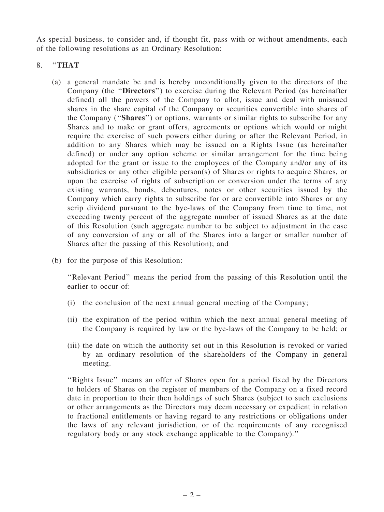As special business, to consider and, if thought fit, pass with or without amendments, each of the following resolutions as an Ordinary Resolution:

### 8. "THAT

- (a) a general mandate be and is hereby unconditionally given to the directors of the Company (the ''Directors'') to exercise during the Relevant Period (as hereinafter defined) all the powers of the Company to allot, issue and deal with unissued shares in the share capital of the Company or securities convertible into shares of the Company (''Shares'') or options, warrants or similar rights to subscribe for any Shares and to make or grant offers, agreements or options which would or might require the exercise of such powers either during or after the Relevant Period, in addition to any Shares which may be issued on a Rights Issue (as hereinafter defined) or under any option scheme or similar arrangement for the time being adopted for the grant or issue to the employees of the Company and/or any of its subsidiaries or any other eligible person(s) of Shares or rights to acquire Shares, or upon the exercise of rights of subscription or conversion under the terms of any existing warrants, bonds, debentures, notes or other securities issued by the Company which carry rights to subscribe for or are convertible into Shares or any scrip dividend pursuant to the bye-laws of the Company from time to time, not exceeding twenty percent of the aggregate number of issued Shares as at the date of this Resolution (such aggregate number to be subject to adjustment in the case of any conversion of any or all of the Shares into a larger or smaller number of Shares after the passing of this Resolution); and
- (b) for the purpose of this Resolution:

''Relevant Period'' means the period from the passing of this Resolution until the earlier to occur of:

- (i) the conclusion of the next annual general meeting of the Company;
- (ii) the expiration of the period within which the next annual general meeting of the Company is required by law or the bye-laws of the Company to be held; or
- (iii) the date on which the authority set out in this Resolution is revoked or varied by an ordinary resolution of the shareholders of the Company in general meeting.

"Rights Issue" means an offer of Shares open for a period fixed by the Directors to holders of Shares on the register of members of the Company on a fixed record date in proportion to their then holdings of such Shares (subject to such exclusions or other arrangements as the Directors may deem necessary or expedient in relation to fractional entitlements or having regard to any restrictions or obligations under the laws of any relevant jurisdiction, or of the requirements of any recognised regulatory body or any stock exchange applicable to the Company).''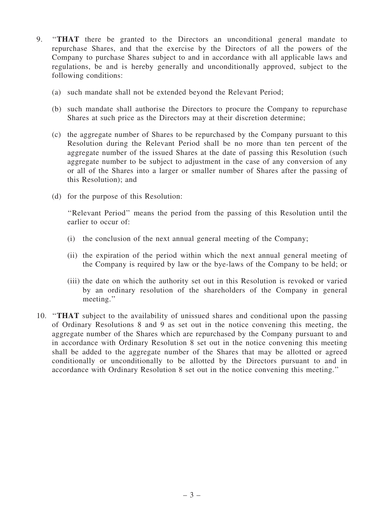- 9. ''THAT there be granted to the Directors an unconditional general mandate to repurchase Shares, and that the exercise by the Directors of all the powers of the Company to purchase Shares subject to and in accordance with all applicable laws and regulations, be and is hereby generally and unconditionally approved, subject to the following conditions:
	- (a) such mandate shall not be extended beyond the Relevant Period;
	- (b) such mandate shall authorise the Directors to procure the Company to repurchase Shares at such price as the Directors may at their discretion determine;
	- (c) the aggregate number of Shares to be repurchased by the Company pursuant to this Resolution during the Relevant Period shall be no more than ten percent of the aggregate number of the issued Shares at the date of passing this Resolution (such aggregate number to be subject to adjustment in the case of any conversion of any or all of the Shares into a larger or smaller number of Shares after the passing of this Resolution); and
	- (d) for the purpose of this Resolution:

''Relevant Period'' means the period from the passing of this Resolution until the earlier to occur of:

- (i) the conclusion of the next annual general meeting of the Company;
- (ii) the expiration of the period within which the next annual general meeting of the Company is required by law or the bye-laws of the Company to be held; or
- (iii) the date on which the authority set out in this Resolution is revoked or varied by an ordinary resolution of the shareholders of the Company in general meeting.''
- 10. ''THAT subject to the availability of unissued shares and conditional upon the passing of Ordinary Resolutions 8 and 9 as set out in the notice convening this meeting, the aggregate number of the Shares which are repurchased by the Company pursuant to and in accordance with Ordinary Resolution 8 set out in the notice convening this meeting shall be added to the aggregate number of the Shares that may be allotted or agreed conditionally or unconditionally to be allotted by the Directors pursuant to and in accordance with Ordinary Resolution 8 set out in the notice convening this meeting.''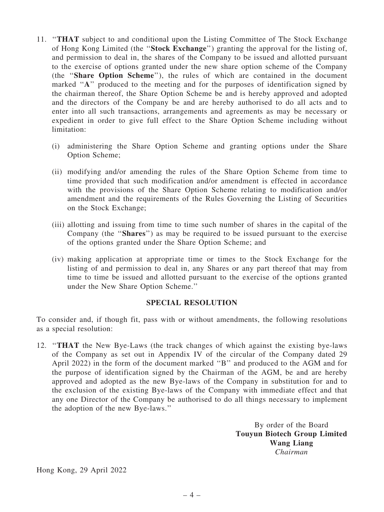- 11. ''THAT subject to and conditional upon the Listing Committee of The Stock Exchange of Hong Kong Limited (the ''Stock Exchange'') granting the approval for the listing of, and permission to deal in, the shares of the Company to be issued and allotted pursuant to the exercise of options granted under the new share option scheme of the Company (the ''Share Option Scheme''), the rules of which are contained in the document marked "A" produced to the meeting and for the purposes of identification signed by the chairman thereof, the Share Option Scheme be and is hereby approved and adopted and the directors of the Company be and are hereby authorised to do all acts and to enter into all such transactions, arrangements and agreements as may be necessary or expedient in order to give full effect to the Share Option Scheme including without limitation:
	- (i) administering the Share Option Scheme and granting options under the Share Option Scheme;
	- (ii) modifying and/or amending the rules of the Share Option Scheme from time to time provided that such modification and/or amendment is effected in accordance with the provisions of the Share Option Scheme relating to modification and/or amendment and the requirements of the Rules Governing the Listing of Securities on the Stock Exchange;
	- (iii) allotting and issuing from time to time such number of shares in the capital of the Company (the ''Shares'') as may be required to be issued pursuant to the exercise of the options granted under the Share Option Scheme; and
	- (iv) making application at appropriate time or times to the Stock Exchange for the listing of and permission to deal in, any Shares or any part thereof that may from time to time be issued and allotted pursuant to the exercise of the options granted under the New Share Option Scheme.''

#### SPECIAL RESOLUTION

To consider and, if though fit, pass with or without amendments, the following resolutions as a special resolution:

12. ''THAT the New Bye-Laws (the track changes of which against the existing bye-laws of the Company as set out in Appendix IV of the circular of the Company dated 29 April 2022) in the form of the document marked ''B'' and produced to the AGM and for the purpose of identification signed by the Chairman of the AGM, be and are hereby approved and adopted as the new Bye-laws of the Company in substitution for and to the exclusion of the existing Bye-laws of the Company with immediate effect and that any one Director of the Company be authorised to do all things necessary to implement the adoption of the new Bye-laws.''

> By order of the Board Touyun Biotech Group Limited Wang Liang *Chairman*

Hong Kong, 29 April 2022